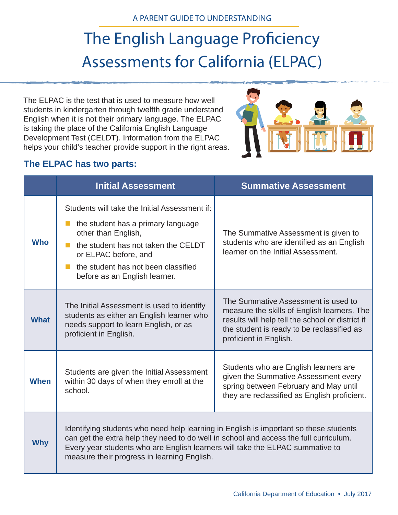# The English Language Proficiency Assessments for California (ELPAC)

The ELPAC is the test that is used to measure how well students in kindergarten through twelfth grade understand English when it is not their primary language. The ELPAC is taking the place of the California English Language Development Test (CELDT). Information from the ELPAC helps your child's teacher provide support in the right areas.



### **The ELPAC has two parts:**

|             | <b>Initial Assessment</b>                                                                                                                                                                                                                                                                                      | <b>Summative Assessment</b>                                                                                                                                                                                    |
|-------------|----------------------------------------------------------------------------------------------------------------------------------------------------------------------------------------------------------------------------------------------------------------------------------------------------------------|----------------------------------------------------------------------------------------------------------------------------------------------------------------------------------------------------------------|
| <b>Who</b>  | Students will take the Initial Assessment if:<br>the student has a primary language<br>other than English,<br>the student has not taken the CELDT<br>$\mathcal{L}_{\mathrm{eff}}$<br>or ELPAC before, and<br>the student has not been classified<br>before as an English learner.                              | The Summative Assessment is given to<br>students who are identified as an English<br>learner on the Initial Assessment.                                                                                        |
| <b>What</b> | The Initial Assessment is used to identify<br>students as either an English learner who<br>needs support to learn English, or as<br>proficient in English.                                                                                                                                                     | The Summative Assessment is used to<br>measure the skills of English learners. The<br>results will help tell the school or district if<br>the student is ready to be reclassified as<br>proficient in English. |
| <b>When</b> | Students are given the Initial Assessment<br>within 30 days of when they enroll at the<br>school.                                                                                                                                                                                                              | Students who are English learners are<br>given the Summative Assessment every<br>spring between February and May until<br>they are reclassified as English proficient.                                         |
| <b>Why</b>  | Identifying students who need help learning in English is important so these students<br>can get the extra help they need to do well in school and access the full curriculum.<br>Every year students who are English learners will take the ELPAC summative to<br>measure their progress in learning English. |                                                                                                                                                                                                                |